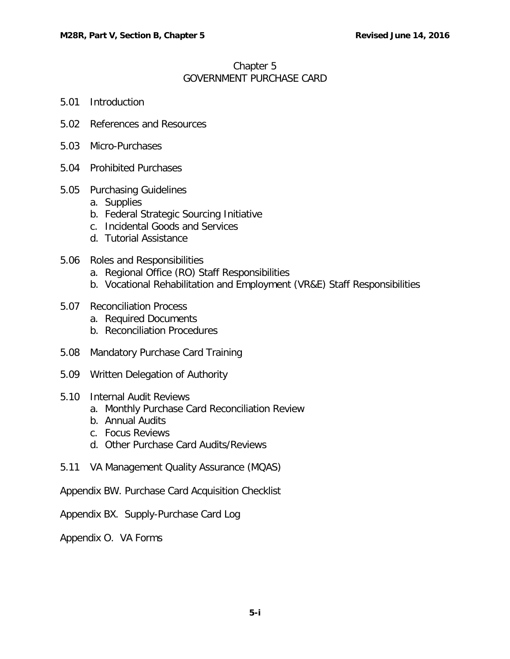## Chapter 5 GOVERNMENT PURCHASE CARD

- 5.01 [Introduction](#page-1-0)
- 5.02 [References and Resources](#page-1-1)
- 5.03 [Micro-Purchases](#page-2-0)
- 5.04 [Prohibited Purchases](#page-2-1)
- 5.05 [Purchasing Guidelines](#page-3-0)
	- a. [Supplies](#page-3-1)
	- b. [Federal Strategic Sourcing Initiative](#page-4-0)
	- c. [Incidental Goods and Services](#page-5-0)
	- d. [Tutorial Assistance](#page-5-1)
- 5.06 [Roles and Responsibilities](#page-6-0)
	- a. [Regional Office \(RO\) Staff Responsibilities](#page-6-1)
	- b. [Vocational Rehabilitation and Employment \(VR&E\) Staff Responsibilities](#page-6-2)
- 5.07 [Reconciliation Process](#page-9-0)
	- a. [Required Documents](#page-10-0)
	- b. [Reconciliation Procedures](#page-13-0)
- 5.08 [Mandatory Purchase Card Training](#page-15-0)
- 5.09 [Written Delegation of Authority](#page-16-0)
- 5.10 [Internal Audit Reviews](#page-16-1)
	- a. [Monthly Purchase Card Reconciliation Review](#page-16-2)
	- b. [Annual Audits](#page-16-3)
	- c. [Focus Reviews](#page-16-4)
	- d. [Other Purchase Card Audits/Reviews](#page-17-0)
- 5.11 [VA Management Quality Assurance \(MQAS\)](#page-17-1)

Appendix BW. Purchase Card Acquisition Checklist

Appendix BX. Supply-Purchase Card Log

Appendix O. VA Forms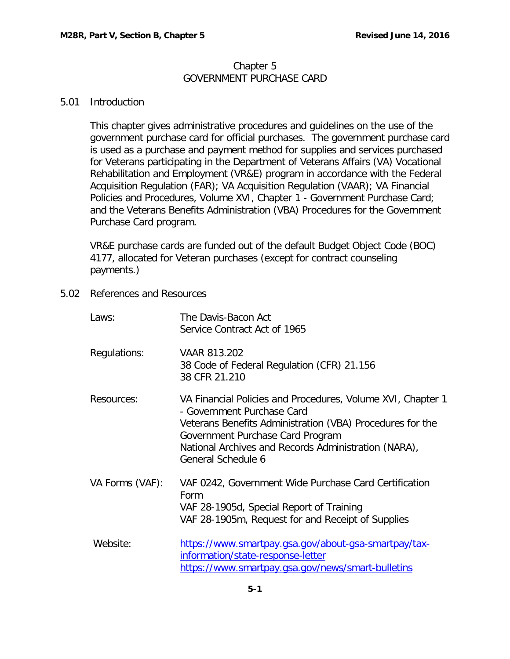### Chapter 5 GOVERNMENT PURCHASE CARD

## <span id="page-1-0"></span>5.01 Introduction

This chapter gives administrative procedures and guidelines on the use of the government purchase card for official purchases. The government purchase card is used as a purchase and payment method for supplies and services purchased for Veterans participating in the Department of Veterans Affairs (VA) Vocational Rehabilitation and Employment (VR&E) program in accordance with the Federal Acquisition Regulation (FAR); VA Acquisition Regulation (VAAR); VA Financial Policies and Procedures, Volume XVI, Chapter 1 - Government Purchase Card; and the Veterans Benefits Administration (VBA) Procedures for the Government Purchase Card program.

VR&E purchase cards are funded out of the default Budget Object Code (BOC) 4177, allocated for Veteran purchases (except for contract counseling payments.)

<span id="page-1-1"></span>5.02 References and Resources

| Laws:           | The Davis-Bacon Act<br>Service Contract Act of 1965                                                                                                                                                                                                                      |
|-----------------|--------------------------------------------------------------------------------------------------------------------------------------------------------------------------------------------------------------------------------------------------------------------------|
| Regulations:    | VAAR 813.202<br>38 Code of Federal Regulation (CFR) 21.156<br>38 CFR 21.210                                                                                                                                                                                              |
| Resources:      | VA Financial Policies and Procedures, Volume XVI, Chapter 1<br>- Government Purchase Card<br>Veterans Benefits Administration (VBA) Procedures for the<br>Government Purchase Card Program<br>National Archives and Records Administration (NARA),<br>General Schedule 6 |
| VA Forms (VAF): | VAF 0242, Government Wide Purchase Card Certification<br>Form<br>VAF 28-1905d, Special Report of Training<br>VAF 28-1905m, Request for and Receipt of Supplies                                                                                                           |
| Website:        | https://www.smartpay.gsa.gov/about-gsa-smartpay/tax-<br>information/state-response-letter<br>https://www.smartpay.gsa.gov/news/smart-bulletins                                                                                                                           |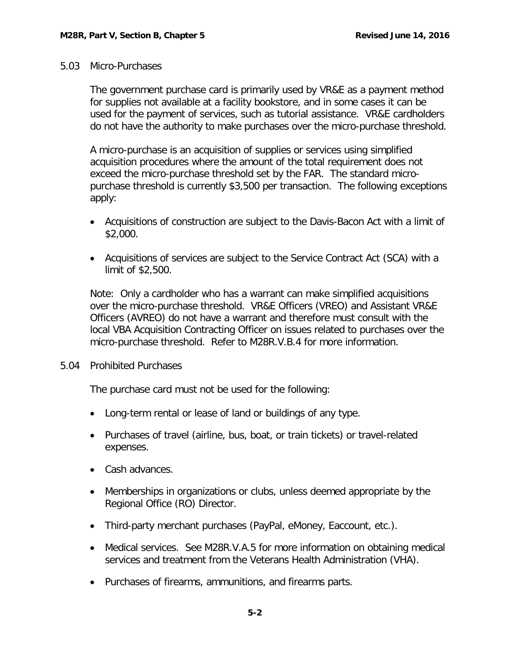#### <span id="page-2-0"></span>5.03 Micro-Purchases

The government purchase card is primarily used by VR&E as a payment method for supplies not available at a facility bookstore, and in some cases it can be used for the payment of services, such as tutorial assistance. VR&E cardholders do not have the authority to make purchases over the micro-purchase threshold.

A micro-purchase is an acquisition of supplies or services using simplified acquisition procedures where the amount of the total requirement does not exceed the micro-purchase threshold set by the FAR. The standard micropurchase threshold is currently \$3,500 per transaction. The following exceptions apply:

- Acquisitions of construction are subject to the Davis-Bacon Act with a limit of \$2,000.
- Acquisitions of services are subject to the Service Contract Act (SCA) with a limit of \$2,500.

Note: Only a cardholder who has a warrant can make simplified acquisitions over the micro-purchase threshold. VR&E Officers (VREO) and Assistant VR&E Officers (AVREO) do not have a warrant and therefore must consult with the local VBA Acquisition Contracting Officer on issues related to purchases over the micro-purchase threshold. Refer to M28R.V.B.4 for more information.

<span id="page-2-1"></span>5.04 Prohibited Purchases

The purchase card must not be used for the following:

- Long-term rental or lease of land or buildings of any type.
- Purchases of travel (airline, bus, boat, or train tickets) or travel-related expenses.
- Cash advances.
- Memberships in organizations or clubs, unless deemed appropriate by the Regional Office (RO) Director.
- Third-party merchant purchases (PayPal, eMoney, Eaccount, etc.).
- Medical services. See M28R.V.A.5 for more information on obtaining medical services and treatment from the Veterans Health Administration (VHA).
- Purchases of firearms, ammunitions, and firearms parts.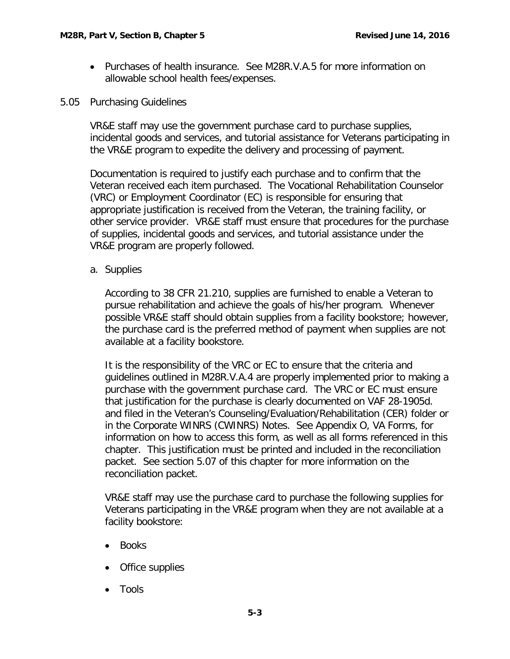- Purchases of health insurance. See M28R.V.A.5 for more information on allowable school health fees/expenses.
- <span id="page-3-0"></span>5.05 Purchasing Guidelines

VR&E staff may use the government purchase card to purchase supplies, incidental goods and services, and tutorial assistance for Veterans participating in the VR&E program to expedite the delivery and processing of payment.

Documentation is required to justify each purchase and to confirm that the Veteran received each item purchased. The Vocational Rehabilitation Counselor (VRC) or Employment Coordinator (EC) is responsible for ensuring that appropriate justification is received from the Veteran, the training facility, or other service provider. VR&E staff must ensure that procedures for the purchase of supplies, incidental goods and services, and tutorial assistance under the VR&E program are properly followed.

<span id="page-3-1"></span>a. Supplies

According to 38 CFR 21.210, supplies are furnished to enable a Veteran to pursue rehabilitation and achieve the goals of his/her program. Whenever possible VR&E staff should obtain supplies from a facility bookstore; however, the purchase card is the preferred method of payment when supplies are not available at a facility bookstore.

It is the responsibility of the VRC or EC to ensure that the criteria and guidelines outlined in M28R.V.A.4 are properly implemented prior to making a purchase with the government purchase card. The VRC or EC must ensure that justification for the purchase is clearly documented on VAF 28-1905d. and filed in the Veteran's Counseling/Evaluation/Rehabilitation (CER) folder or in the Corporate WINRS (CWINRS) Notes. See Appendix O, VA Forms, for information on how to access this form, as well as all forms referenced in this chapter. This justification must be printed and included in the reconciliation packet. See section 5.07 of this chapter for more information on the reconciliation packet.

VR&E staff may use the purchase card to purchase the following supplies for Veterans participating in the VR&E program when they are not available at a facility bookstore:

- Books
- Office supplies
- Tools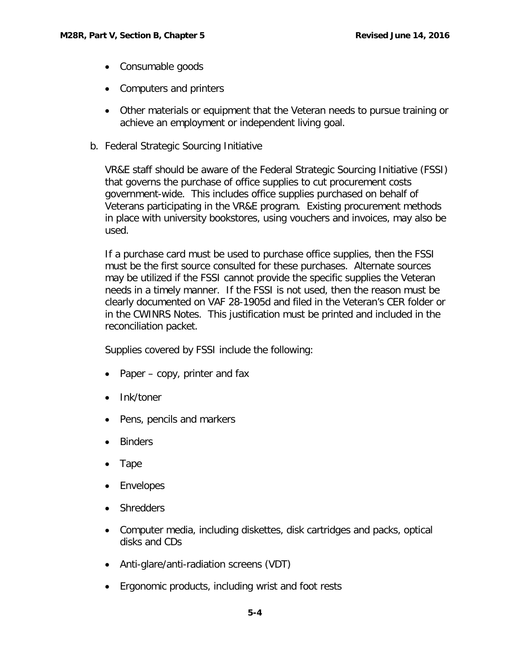- Consumable goods
- Computers and printers
- Other materials or equipment that the Veteran needs to pursue training or achieve an employment or independent living goal.
- <span id="page-4-0"></span>b. Federal Strategic Sourcing Initiative

VR&E staff should be aware of the Federal Strategic Sourcing Initiative (FSSI) that governs the purchase of office supplies to cut procurement costs government-wide. This includes office supplies purchased on behalf of Veterans participating in the VR&E program. Existing procurement methods in place with university bookstores, using vouchers and invoices, may also be used.

If a purchase card must be used to purchase office supplies, then the FSSI must be the first source consulted for these purchases. Alternate sources may be utilized if the FSSI cannot provide the specific supplies the Veteran needs in a timely manner. If the FSSI is not used, then the reason must be clearly documented on VAF 28-1905d and filed in the Veteran's CER folder or in the CWINRS Notes. This justification must be printed and included in the reconciliation packet.

Supplies covered by FSSI include the following:

- Paper copy, printer and fax
- Ink/toner
- Pens, pencils and markers
- Binders
- Tape
- Envelopes
- Shredders
- Computer media, including diskettes, disk cartridges and packs, optical disks and CDs
- Anti-glare/anti-radiation screens (VDT)
- Ergonomic products, including wrist and foot rests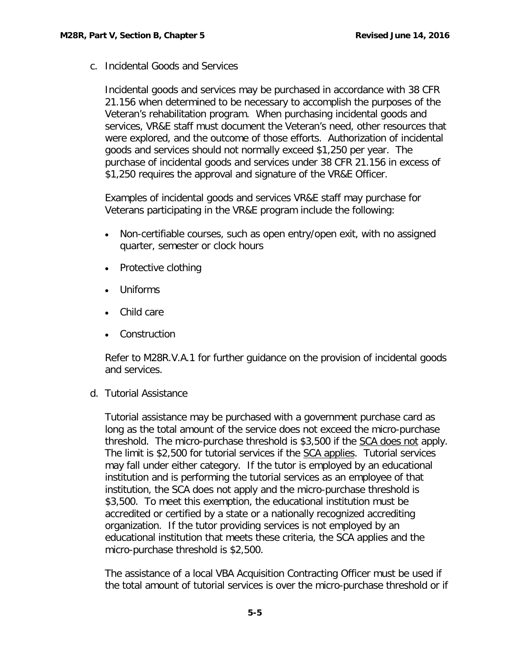<span id="page-5-0"></span>c. Incidental Goods and Services

Incidental goods and services may be purchased in accordance with 38 CFR 21.156 when determined to be necessary to accomplish the purposes of the Veteran's rehabilitation program. When purchasing incidental goods and services, VR&E staff must document the Veteran's need, other resources that were explored, and the outcome of those efforts. Authorization of incidental goods and services should not normally exceed \$1,250 per year. The purchase of incidental goods and services under 38 CFR 21.156 in excess of \$1,250 requires the approval and signature of the VR&E Officer.

Examples of incidental goods and services VR&E staff may purchase for Veterans participating in the VR&E program include the following:

- Non-certifiable courses, such as open entry/open exit, with no assigned quarter, semester or clock hours
- Protective clothing
- Uniforms
- Child care
- Construction

Refer to M28R.V.A.1 for further guidance on the provision of incidental goods and services.

<span id="page-5-1"></span>d. Tutorial Assistance

Tutorial assistance may be purchased with a government purchase card as long as the total amount of the service does not exceed the micro-purchase threshold. The micro-purchase threshold is \$3,500 if the SCA does not apply. The limit is \$2,500 for tutorial services if the SCA applies. Tutorial services may fall under either category. If the tutor is employed by an educational institution and is performing the tutorial services as an employee of that institution, the SCA does not apply and the micro-purchase threshold is \$3,500. To meet this exemption, the educational institution must be accredited or certified by a state or a nationally recognized accrediting organization. If the tutor providing services is not employed by an educational institution that meets these criteria, the SCA applies and the micro-purchase threshold is \$2,500.

The assistance of a local VBA Acquisition Contracting Officer must be used if the total amount of tutorial services is over the micro-purchase threshold or if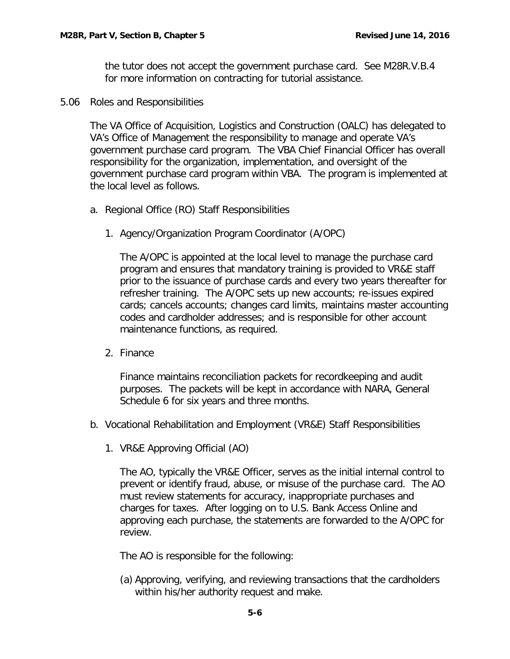the tutor does not accept the government purchase card. See M28R.V.B.4 for more information on contracting for tutorial assistance.

<span id="page-6-0"></span>5.06 Roles and Responsibilities

The VA Office of Acquisition, Logistics and Construction (OALC) has delegated to VA's Office of Management the responsibility to manage and operate VA's government purchase card program. The VBA Chief Financial Officer has overall responsibility for the organization, implementation, and oversight of the government purchase card program within VBA. The program is implemented at the local level as follows.

- <span id="page-6-1"></span>a. Regional Office (RO) Staff Responsibilities
	- 1. Agency/Organization Program Coordinator (A/OPC)

The A/OPC is appointed at the local level to manage the purchase card program and ensures that mandatory training is provided to VR&E staff prior to the issuance of purchase cards and every two years thereafter for refresher training. The A/OPC sets up new accounts; re-issues expired cards; cancels accounts; changes card limits, maintains master accounting codes and cardholder addresses; and is responsible for other account maintenance functions, as required.

2. Finance

Finance maintains reconciliation packets for recordkeeping and audit purposes. The packets will be kept in accordance with NARA, General Schedule 6 for six years and three months.

- <span id="page-6-2"></span>b. Vocational Rehabilitation and Employment (VR&E) Staff Responsibilities
	- 1. VR&E Approving Official (AO)

The AO, typically the VR&E Officer, serves as the initial internal control to prevent or identify fraud, abuse, or misuse of the purchase card. The AO must review statements for accuracy, inappropriate purchases and charges for taxes. After logging on to U.S. Bank Access Online and approving each purchase, the statements are forwarded to the A/OPC for review.

The AO is responsible for the following:

(a) Approving, verifying, and reviewing transactions that the cardholders within his/her authority request and make.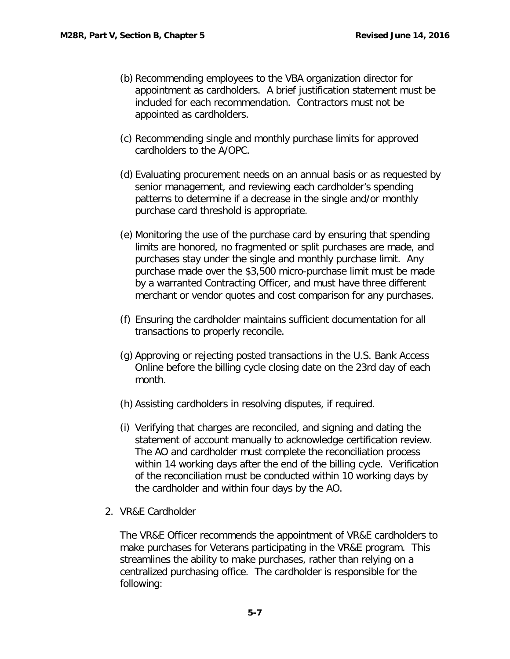- (b) Recommending employees to the VBA organization director for appointment as cardholders. A brief justification statement must be included for each recommendation. Contractors must not be appointed as cardholders.
- (c) Recommending single and monthly purchase limits for approved cardholders to the A/OPC.
- (d) Evaluating procurement needs on an annual basis or as requested by senior management, and reviewing each cardholder's spending patterns to determine if a decrease in the single and/or monthly purchase card threshold is appropriate.
- (e) Monitoring the use of the purchase card by ensuring that spending limits are honored, no fragmented or split purchases are made, and purchases stay under the single and monthly purchase limit. Any purchase made over the \$3,500 micro-purchase limit must be made by a warranted Contracting Officer, and must have three different merchant or vendor quotes and cost comparison for any purchases.
- (f) Ensuring the cardholder maintains sufficient documentation for all transactions to properly reconcile.
- (g) Approving or rejecting posted transactions in the U.S. Bank Access Online before the billing cycle closing date on the 23rd day of each month.
- (h) Assisting cardholders in resolving disputes, if required.
- (i) Verifying that charges are reconciled, and signing and dating the statement of account manually to acknowledge certification review. The AO and cardholder must complete the reconciliation process within 14 working days after the end of the billing cycle. Verification of the reconciliation must be conducted within 10 working days by the cardholder and within four days by the AO.
- 2. VR&E Cardholder

The VR&E Officer recommends the appointment of VR&E cardholders to make purchases for Veterans participating in the VR&E program. This streamlines the ability to make purchases, rather than relying on a centralized purchasing office. The cardholder is responsible for the following: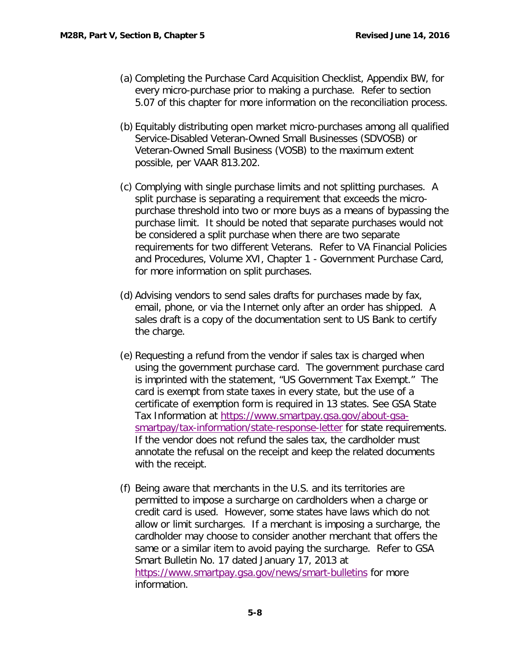- (a) Completing the Purchase Card Acquisition Checklist, Appendix BW, for every micro-purchase prior to making a purchase. Refer to section 5.07 of this chapter for more information on the reconciliation process.
- (b) Equitably distributing open market micro-purchases among all qualified Service-Disabled Veteran-Owned Small Businesses (SDVOSB) or Veteran-Owned Small Business (VOSB) to the maximum extent possible, per VAAR 813.202.
- (c) Complying with single purchase limits and not splitting purchases. A split purchase is separating a requirement that exceeds the micropurchase threshold into two or more buys as a means of bypassing the purchase limit. It should be noted that separate purchases would not be considered a split purchase when there are two separate requirements for two different Veterans. Refer to VA Financial Policies and Procedures, Volume XVI, Chapter 1 - Government Purchase Card, for more information on split purchases.
- (d) Advising vendors to send sales drafts for purchases made by fax, email, phone, or via the Internet only after an order has shipped. A sales draft is a copy of the documentation sent to US Bank to certify the charge.
- (e) Requesting a refund from the vendor if sales tax is charged when using the government purchase card. The government purchase card is imprinted with the statement, "US Government Tax Exempt." The card is exempt from state taxes in every state, but the use of a certificate of exemption form is required in 13 states. See GSA State Tax Information at [https://www.smartpay.gsa.gov/about-gsa](https://www.smartpay.gsa.gov/about-gsa-smartpay/tax-information/state-response-letter)[smartpay/tax-information/state-response-letter](https://www.smartpay.gsa.gov/about-gsa-smartpay/tax-information/state-response-letter) for state requirements. If the vendor does not refund the sales tax, the cardholder must annotate the refusal on the receipt and keep the related documents with the receipt.
- (f) Being aware that merchants in the U.S. and its territories are permitted to impose a surcharge on cardholders when a charge or credit card is used. However, some states have laws which do not allow or limit surcharges. If a merchant is imposing a surcharge, the cardholder may choose to consider another merchant that offers the same or a similar item to avoid paying the surcharge. Refer to GSA Smart Bulletin No. 17 dated January 17, 2013 at <https://www.smartpay.gsa.gov/news/smart-bulletins> for more information.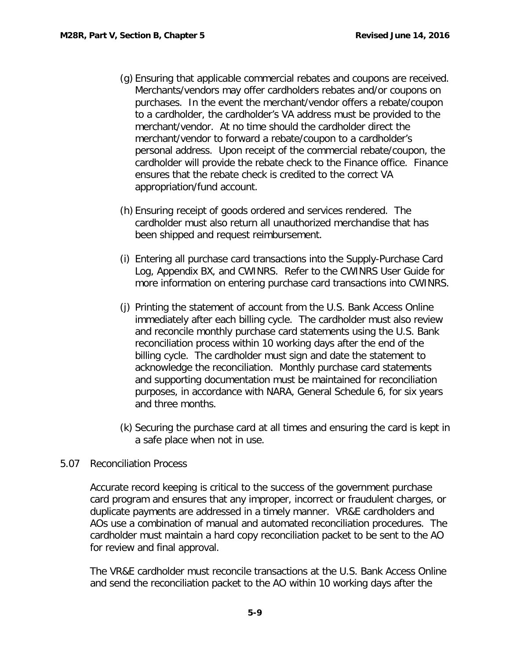- (g) Ensuring that applicable commercial rebates and coupons are received. Merchants/vendors may offer cardholders rebates and/or coupons on purchases. In the event the merchant/vendor offers a rebate/coupon to a cardholder, the cardholder's VA address must be provided to the merchant/vendor. At no time should the cardholder direct the merchant/vendor to forward a rebate/coupon to a cardholder's personal address. Upon receipt of the commercial rebate/coupon, the cardholder will provide the rebate check to the Finance office. Finance ensures that the rebate check is credited to the correct VA appropriation/fund account.
- (h) Ensuring receipt of goods ordered and services rendered. The cardholder must also return all unauthorized merchandise that has been shipped and request reimbursement.
- (i) Entering all purchase card transactions into the Supply-Purchase Card Log, Appendix BX, and CWINRS. Refer to the CWINRS User Guide for more information on entering purchase card transactions into CWINRS.
- (j) Printing the statement of account from the U.S. Bank Access Online immediately after each billing cycle. The cardholder must also review and reconcile monthly purchase card statements using the U.S. Bank reconciliation process within 10 working days after the end of the billing cycle. The cardholder must sign and date the statement to acknowledge the reconciliation. Monthly purchase card statements and supporting documentation must be maintained for reconciliation purposes, in accordance with NARA, General Schedule 6, for six years and three months.
- (k) Securing the purchase card at all times and ensuring the card is kept in a safe place when not in use.

# <span id="page-9-0"></span>5.07 Reconciliation Process

Accurate record keeping is critical to the success of the government purchase card program and ensures that any improper, incorrect or fraudulent charges, or duplicate payments are addressed in a timely manner. VR&E cardholders and AOs use a combination of manual and automated reconciliation procedures. The cardholder must maintain a hard copy reconciliation packet to be sent to the AO for review and final approval.

The VR&E cardholder must reconcile transactions at the U.S. Bank Access Online and send the reconciliation packet to the AO within 10 working days after the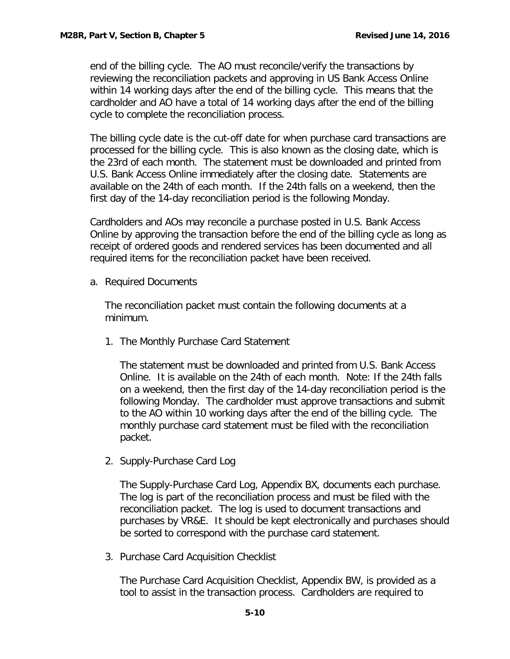end of the billing cycle. The AO must reconcile/verify the transactions by reviewing the reconciliation packets and approving in US Bank Access Online within 14 working days after the end of the billing cycle. This means that the cardholder and AO have a total of 14 working days after the end of the billing cycle to complete the reconciliation process.

The billing cycle date is the cut-off date for when purchase card transactions are processed for the billing cycle. This is also known as the closing date, which is the 23rd of each month. The statement must be downloaded and printed from U.S. Bank Access Online immediately after the closing date. Statements are available on the 24th of each month. If the 24th falls on a weekend, then the first day of the 14-day reconciliation period is the following Monday.

Cardholders and AOs may reconcile a purchase posted in U.S. Bank Access Online by approving the transaction before the end of the billing cycle as long as receipt of ordered goods and rendered services has been documented and all required items for the reconciliation packet have been received.

<span id="page-10-0"></span>a. Required Documents

The reconciliation packet must contain the following documents at a minimum.

1. The Monthly Purchase Card Statement

The statement must be downloaded and printed from U.S. Bank Access Online. It is available on the 24th of each month. Note: If the 24th falls on a weekend, then the first day of the 14-day reconciliation period is the following Monday. The cardholder must approve transactions and submit to the AO within 10 working days after the end of the billing cycle. The monthly purchase card statement must be filed with the reconciliation packet.

2. Supply-Purchase Card Log

The Supply-Purchase Card Log, Appendix BX, documents each purchase. The log is part of the reconciliation process and must be filed with the reconciliation packet. The log is used to document transactions and purchases by VR&E. It should be kept electronically and purchases should be sorted to correspond with the purchase card statement.

3. Purchase Card Acquisition Checklist

The Purchase Card Acquisition Checklist, Appendix BW, is provided as a tool to assist in the transaction process. Cardholders are required to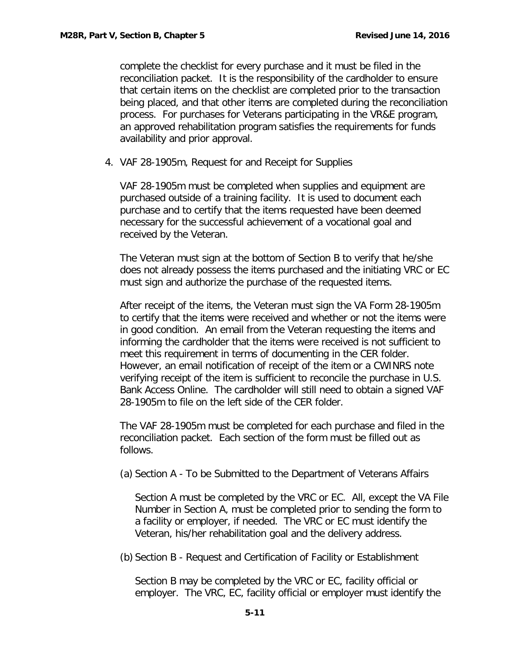complete the checklist for every purchase and it must be filed in the reconciliation packet. It is the responsibility of the cardholder to ensure that certain items on the checklist are completed prior to the transaction being placed, and that other items are completed during the reconciliation process. For purchases for Veterans participating in the VR&E program, an approved rehabilitation program satisfies the requirements for funds availability and prior approval.

4. VAF 28-1905m, Request for and Receipt for Supplies

VAF 28-1905m must be completed when supplies and equipment are purchased outside of a training facility. It is used to document each purchase and to certify that the items requested have been deemed necessary for the successful achievement of a vocational goal and received by the Veteran.

The Veteran must sign at the bottom of Section B to verify that he/she does not already possess the items purchased and the initiating VRC or EC must sign and authorize the purchase of the requested items.

After receipt of the items, the Veteran must sign the VA Form 28-1905m to certify that the items were received and whether or not the items were in good condition. An email from the Veteran requesting the items and informing the cardholder that the items were received is not sufficient to meet this requirement in terms of documenting in the CER folder. However, an email notification of receipt of the item or a CWINRS note verifying receipt of the item is sufficient to reconcile the purchase in U.S. Bank Access Online. The cardholder will still need to obtain a signed VAF 28-1905m to file on the left side of the CER folder.

The VAF 28-1905m must be completed for each purchase and filed in the reconciliation packet. Each section of the form must be filled out as follows.

(a) Section A - To be Submitted to the Department of Veterans Affairs

Section A must be completed by the VRC or EC. All, except the VA File Number in Section A, must be completed prior to sending the form to a facility or employer, if needed. The VRC or EC must identify the Veteran, his/her rehabilitation goal and the delivery address.

(b) Section B - Request and Certification of Facility or Establishment

Section B may be completed by the VRC or EC, facility official or employer. The VRC, EC, facility official or employer must identify the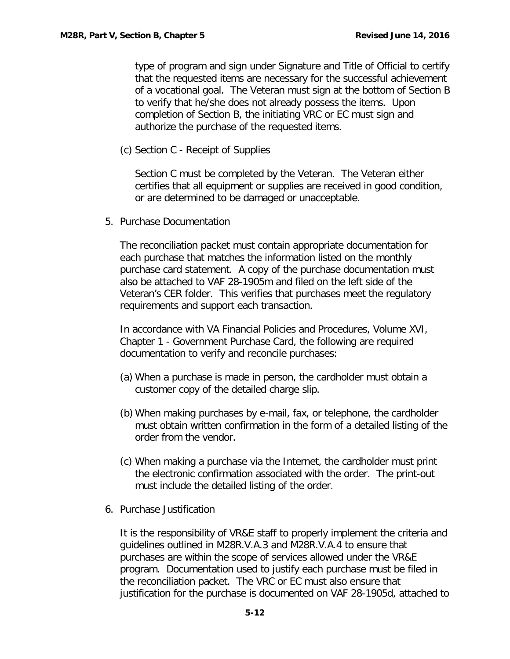type of program and sign under Signature and Title of Official to certify that the requested items are necessary for the successful achievement of a vocational goal. The Veteran must sign at the bottom of Section B to verify that he/she does not already possess the items. Upon completion of Section B, the initiating VRC or EC must sign and authorize the purchase of the requested items.

(c) Section C - Receipt of Supplies

Section C must be completed by the Veteran. The Veteran either certifies that all equipment or supplies are received in good condition, or are determined to be damaged or unacceptable.

5. Purchase Documentation

The reconciliation packet must contain appropriate documentation for each purchase that matches the information listed on the monthly purchase card statement. A copy of the purchase documentation must also be attached to VAF 28-1905m and filed on the left side of the Veteran's CER folder. This verifies that purchases meet the regulatory requirements and support each transaction.

In accordance with VA Financial Policies and Procedures, Volume XVI, Chapter 1 - Government Purchase Card, the following are required documentation to verify and reconcile purchases:

- (a) When a purchase is made in person, the cardholder must obtain a customer copy of the detailed charge slip.
- (b) When making purchases by e-mail, fax, or telephone, the cardholder must obtain written confirmation in the form of a detailed listing of the order from the vendor.
- (c) When making a purchase via the Internet, the cardholder must print the electronic confirmation associated with the order. The print-out must include the detailed listing of the order.
- 6. Purchase Justification

It is the responsibility of VR&E staff to properly implement the criteria and guidelines outlined in M28R.V.A.3 and M28R.V.A.4 to ensure that purchases are within the scope of services allowed under the VR&E program. Documentation used to justify each purchase must be filed in the reconciliation packet. The VRC or EC must also ensure that justification for the purchase is documented on VAF 28-1905d, attached to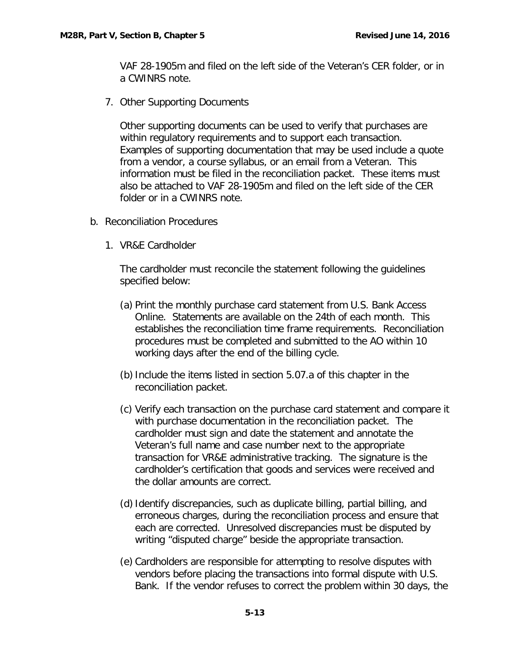VAF 28-1905m and filed on the left side of the Veteran's CER folder, or in a CWINRS note.

7. Other Supporting Documents

Other supporting documents can be used to verify that purchases are within regulatory requirements and to support each transaction. Examples of supporting documentation that may be used include a quote from a vendor, a course syllabus, or an email from a Veteran. This information must be filed in the reconciliation packet. These items must also be attached to VAF 28-1905m and filed on the left side of the CER folder or in a CWINRS note.

- <span id="page-13-0"></span>b. Reconciliation Procedures
	- 1. VR&E Cardholder

The cardholder must reconcile the statement following the guidelines specified below:

- (a) Print the monthly purchase card statement from U.S. Bank Access Online. Statements are available on the 24th of each month. This establishes the reconciliation time frame requirements. Reconciliation procedures must be completed and submitted to the AO within 10 working days after the end of the billing cycle.
- (b)Include the items listed in section 5.07.a of this chapter in the reconciliation packet.
- (c) Verify each transaction on the purchase card statement and compare it with purchase documentation in the reconciliation packet. The cardholder must sign and date the statement and annotate the Veteran's full name and case number next to the appropriate transaction for VR&E administrative tracking. The signature is the cardholder's certification that goods and services were received and the dollar amounts are correct.
- (d) Identify discrepancies, such as duplicate billing, partial billing, and erroneous charges, during the reconciliation process and ensure that each are corrected. Unresolved discrepancies must be disputed by writing "disputed charge" beside the appropriate transaction.
- (e) Cardholders are responsible for attempting to resolve disputes with vendors before placing the transactions into formal dispute with U.S. Bank. If the vendor refuses to correct the problem within 30 days, the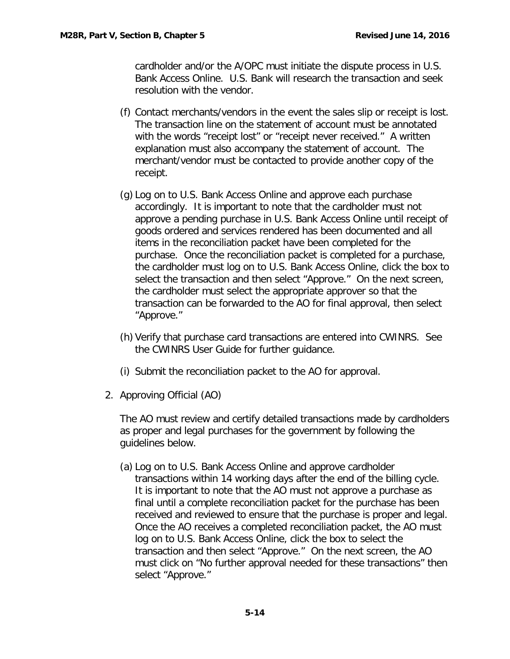cardholder and/or the A/OPC must initiate the dispute process in U.S. Bank Access Online. U.S. Bank will research the transaction and seek resolution with the vendor.

- (f) Contact merchants/vendors in the event the sales slip or receipt is lost. The transaction line on the statement of account must be annotated with the words "receipt lost" or "receipt never received." A written explanation must also accompany the statement of account. The merchant/vendor must be contacted to provide another copy of the receipt.
- (g) Log on to U.S. Bank Access Online and approve each purchase accordingly. It is important to note that the cardholder must not approve a pending purchase in U.S. Bank Access Online until receipt of goods ordered and services rendered has been documented and all items in the reconciliation packet have been completed for the purchase. Once the reconciliation packet is completed for a purchase, the cardholder must log on to U.S. Bank Access Online, click the box to select the transaction and then select "Approve." On the next screen, the cardholder must select the appropriate approver so that the transaction can be forwarded to the AO for final approval, then select "Approve."
- (h) Verify that purchase card transactions are entered into CWINRS. See the CWINRS User Guide for further guidance.
- (i) Submit the reconciliation packet to the AO for approval.
- 2. Approving Official (AO)

The AO must review and certify detailed transactions made by cardholders as proper and legal purchases for the government by following the guidelines below.

(a) Log on to U.S. Bank Access Online and approve cardholder transactions within 14 working days after the end of the billing cycle. It is important to note that the AO must not approve a purchase as final until a complete reconciliation packet for the purchase has been received and reviewed to ensure that the purchase is proper and legal. Once the AO receives a completed reconciliation packet, the AO must log on to U.S. Bank Access Online, click the box to select the transaction and then select "Approve." On the next screen, the AO must click on "No further approval needed for these transactions" then select "Approve."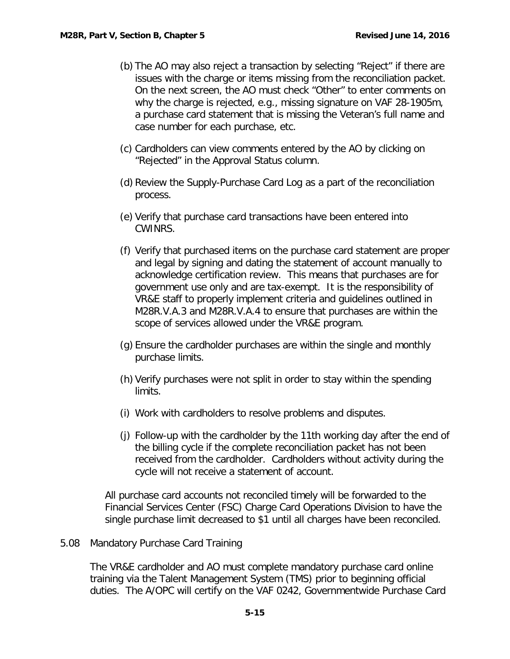- (b) The AO may also reject a transaction by selecting "Reject" if there are issues with the charge or items missing from the reconciliation packet. On the next screen, the AO must check "Other" to enter comments on why the charge is rejected, e.g., missing signature on VAF 28-1905m, a purchase card statement that is missing the Veteran's full name and case number for each purchase, etc.
- (c) Cardholders can view comments entered by the AO by clicking on "Rejected" in the Approval Status column.
- (d) Review the Supply-Purchase Card Log as a part of the reconciliation process.
- (e) Verify that purchase card transactions have been entered into CWINRS.
- (f) Verify that purchased items on the purchase card statement are proper and legal by signing and dating the statement of account manually to acknowledge certification review. This means that purchases are for government use only and are tax-exempt. It is the responsibility of VR&E staff to properly implement criteria and guidelines outlined in M28R.V.A.3 and M28R.V.A.4 to ensure that purchases are within the scope of services allowed under the VR&E program.
- (g) Ensure the cardholder purchases are within the single and monthly purchase limits.
- (h) Verify purchases were not split in order to stay within the spending limits.
- (i) Work with cardholders to resolve problems and disputes.
- (j) Follow-up with the cardholder by the 11th working day after the end of the billing cycle if the complete reconciliation packet has not been received from the cardholder. Cardholders without activity during the cycle will not receive a statement of account.

All purchase card accounts not reconciled timely will be forwarded to the Financial Services Center (FSC) Charge Card Operations Division to have the single purchase limit decreased to \$1 until all charges have been reconciled.

### <span id="page-15-0"></span>5.08 Mandatory Purchase Card Training

The VR&E cardholder and AO must complete mandatory purchase card online training via the Talent Management System (TMS) prior to beginning official duties. The A/OPC will certify on the VAF 0242, Governmentwide Purchase Card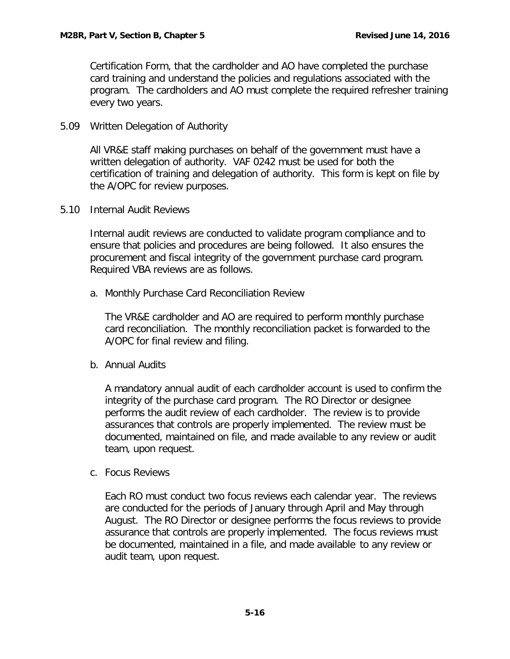Certification Form, that the cardholder and AO have completed the purchase card training and understand the policies and regulations associated with the program. The cardholders and AO must complete the required refresher training every two years.

<span id="page-16-0"></span>5.09 Written Delegation of Authority

All VR&E staff making purchases on behalf of the government must have a written delegation of authority. VAF 0242 must be used for both the certification of training and delegation of authority. This form is kept on file by the A/OPC for review purposes.

<span id="page-16-1"></span>5.10 Internal Audit Reviews

Internal audit reviews are conducted to validate program compliance and to ensure that policies and procedures are being followed. It also ensures the procurement and fiscal integrity of the government purchase card program. Required VBA reviews are as follows.

<span id="page-16-2"></span>a. Monthly Purchase Card Reconciliation Review

The VR&E cardholder and AO are required to perform monthly purchase card reconciliation. The monthly reconciliation packet is forwarded to the A/OPC for final review and filing.

<span id="page-16-3"></span>b. Annual Audits

A mandatory annual audit of each cardholder account is used to confirm the integrity of the purchase card program. The RO Director or designee performs the audit review of each cardholder. The review is to provide assurances that controls are properly implemented. The review must be documented, maintained on file, and made available to any review or audit team, upon request.

<span id="page-16-4"></span>c. Focus Reviews

Each RO must conduct two focus reviews each calendar year. The reviews are conducted for the periods of January through April and May through August. The RO Director or designee performs the focus reviews to provide assurance that controls are properly implemented. The focus reviews must be documented, maintained in a file, and made available to any review or audit team, upon request.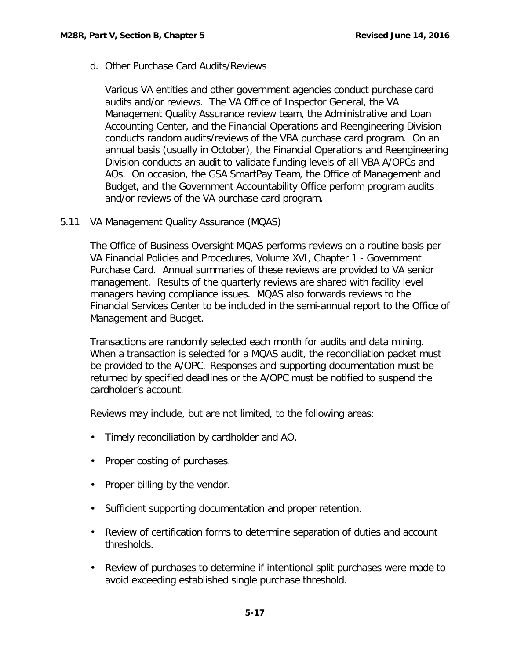<span id="page-17-0"></span>d. Other Purchase Card Audits/Reviews

Various VA entities and other government agencies conduct purchase card audits and/or reviews. The VA Office of Inspector General, the VA Management Quality Assurance review team, the Administrative and Loan Accounting Center, and the Financial Operations and Reengineering Division conducts random audits/reviews of the VBA purchase card program. On an annual basis (usually in October), the Financial Operations and Reengineering Division conducts an audit to validate funding levels of all VBA A/OPCs and AOs. On occasion, the GSA SmartPay Team, the Office of Management and Budget, and the Government Accountability Office perform program audits and/or reviews of the VA purchase card program.

<span id="page-17-1"></span>5.11 VA Management Quality Assurance (MQAS)

The Office of Business Oversight MQAS performs reviews on a routine basis per VA Financial Policies and Procedures, Volume XVI, Chapter 1 - Government Purchase Card. Annual summaries of these reviews are provided to VA senior management. Results of the quarterly reviews are shared with facility level managers having compliance issues. MQAS also forwards reviews to the Financial Services Center to be included in the semi-annual report to the Office of Management and Budget.

Transactions are randomly selected each month for audits and data mining. When a transaction is selected for a MQAS audit, the reconciliation packet must be provided to the A/OPC. Responses and supporting documentation must be returned by specified deadlines or the A/OPC must be notified to suspend the cardholder's account.

Reviews may include, but are not limited, to the following areas:

- Timely reconciliation by cardholder and AO.
- Proper costing of purchases.
- Proper billing by the vendor.
- Sufficient supporting documentation and proper retention.
- Review of certification forms to determine separation of duties and account thresholds.
- Review of purchases to determine if intentional split purchases were made to avoid exceeding established single purchase threshold.